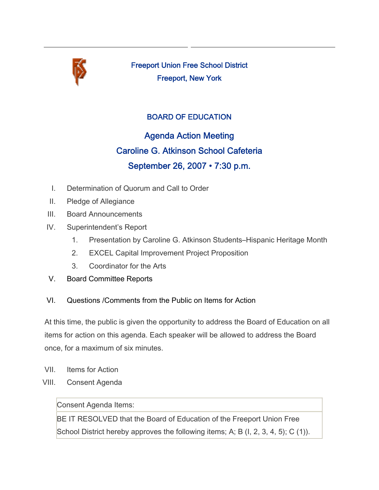

Freeport Union Free School District Freeport, New York

## BOARD OF EDUCATION

## Agenda Action Meeting Caroline G. Atkinson School Cafeteria September 26, 2007 • 7:30 p.m.

- I. Determination of Quorum and Call to Order
- II. Pledge of Allegiance
- III. Board Announcements
- IV. Superintendent's Report
	- 1. Presentation by Caroline G. Atkinson Students–Hispanic Heritage Month
	- 2. EXCEL Capital Improvement Project Proposition
	- 3. Coordinator for the Arts
- V. Board Committee Reports

## VI. Questions /Comments from the Public on Items for Action

At this time, the public is given the opportunity to address the Board of Education on all items for action on this agenda. Each speaker will be allowed to address the Board once, for a maximum of six minutes.

- VII. Items for Action
- VIII. Consent Agenda

## Consent Agenda Items:

BE IT RESOLVED that the Board of Education of the Freeport Union Free School District hereby approves the following items; A; B (I, 2, 3, 4, 5); C (1)).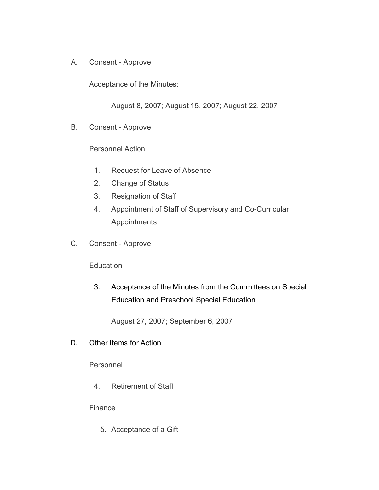A. Consent - Approve

Acceptance of the Minutes:

August 8, 2007; August 15, 2007; August 22, 2007

B. Consent - Approve

Personnel Action

- 1. Request for Leave of Absence
- 2. Change of Status
- 3. Resignation of Staff
- 4. Appointment of Staff of Supervisory and Co-Curricular Appointments
- C. Consent Approve

**Education** 

3. Acceptance of the Minutes from the Committees on Special Education and Preschool Special Education

August 27, 2007; September 6, 2007

D. Other Items for Action

Personnel

4. Retirement of Staff

Finance

5. Acceptance of a Gift